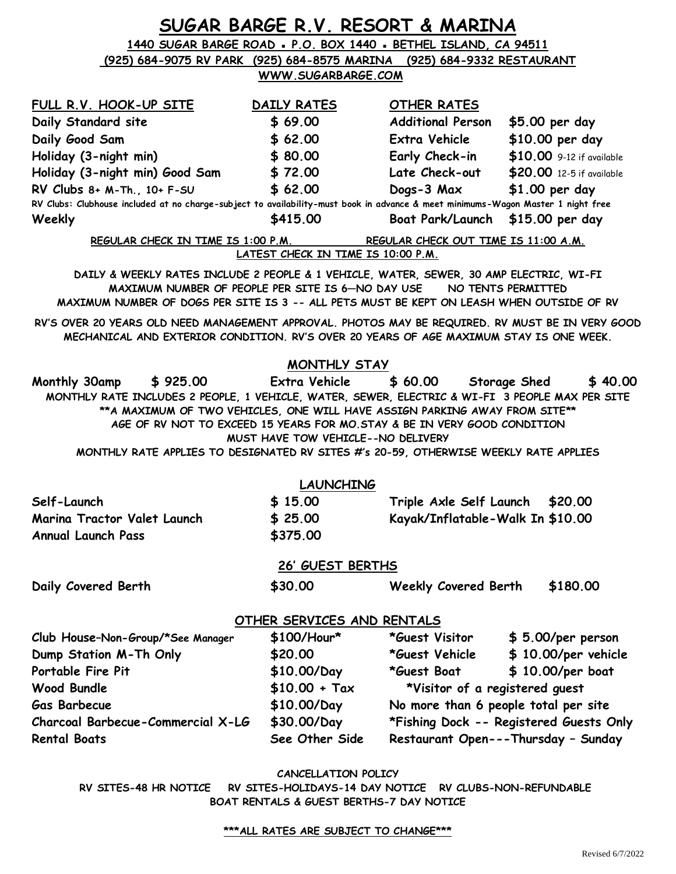|                                                                                                                                                                                                                                                                                                                                                                                  |                                                     | SUGAR BARGE R.V. RESORT & MARINA        |                                          |  |
|----------------------------------------------------------------------------------------------------------------------------------------------------------------------------------------------------------------------------------------------------------------------------------------------------------------------------------------------------------------------------------|-----------------------------------------------------|-----------------------------------------|------------------------------------------|--|
| 1440 SUGAR BARGE ROAD - P.O. BOX 1440 - BETHEL ISLAND, CA 94511                                                                                                                                                                                                                                                                                                                  |                                                     |                                         |                                          |  |
| (925) 684-9075 RV PARK (925) 684-8575 MARINA (925) 684-9332 RESTAURANT                                                                                                                                                                                                                                                                                                           |                                                     |                                         |                                          |  |
|                                                                                                                                                                                                                                                                                                                                                                                  | WWW.SUGARBARGE.COM                                  |                                         |                                          |  |
| FULL R.V. HOOK-UP SITE                                                                                                                                                                                                                                                                                                                                                           | DAILY RATES                                         | OTHER RATES                             |                                          |  |
| Daily Standard site                                                                                                                                                                                                                                                                                                                                                              | \$69.00                                             | Additional Person \$5.00 per day        |                                          |  |
| Daily Good Sam                                                                                                                                                                                                                                                                                                                                                                   | \$62.00                                             | Extra Vehicle                           | \$10.00 per day                          |  |
| Holiday (3-night min)                                                                                                                                                                                                                                                                                                                                                            | \$80.00                                             |                                         | Early Check-in \$10.00 9-12 if available |  |
| Holiday (3-night min) Good Sam \$72.00                                                                                                                                                                                                                                                                                                                                           |                                                     |                                         | Late Check-out \$20.00 12-5 if available |  |
| RV Clubs 8+ M-Th., 10+ F-SU                                                                                                                                                                                                                                                                                                                                                      | \$62.00                                             | Dogs-3 Max                              | \$1.00 per day                           |  |
| RV Clubs: Clubhouse included at no charge-subject to availability-must book in advance & meet minimums-Wagon Master 1 night free                                                                                                                                                                                                                                                 |                                                     |                                         |                                          |  |
| Weekly                                                                                                                                                                                                                                                                                                                                                                           | \$415.00                                            | Boat Park/Launch \$15.00 per day        |                                          |  |
| REGULAR CHECK IN TIME IS 1:00 P.M.                                                                                                                                                                                                                                                                                                                                               |                                                     | REGULAR CHECK OUT TIME IS 11:00 A.M.    |                                          |  |
|                                                                                                                                                                                                                                                                                                                                                                                  | LATEST CHECK IN TIME IS 10:00 P.M.                  |                                         |                                          |  |
| DAILY & WEEKLY RATES INCLUDE 2 PEOPLE & 1 VEHICLE, WATER, SEWER, 30 AMP ELECTRIC, WI-FI                                                                                                                                                                                                                                                                                          |                                                     |                                         |                                          |  |
| MAXIMUM NUMBER OF PEOPLE PER SITE IS 6-NO DAY USE NO TENTS PERMITTED<br>MAXIMUM NUMBER OF DOGS PER SITE IS 3 -- ALL PETS MUST BE KEPT ON LEASH WHEN OUTSIDE OF RV                                                                                                                                                                                                                |                                                     |                                         |                                          |  |
|                                                                                                                                                                                                                                                                                                                                                                                  |                                                     |                                         |                                          |  |
| RV'S OVER 20 YEARS OLD NEED MANAGEMENT APPROVAL. PHOTOS MAY BE REQUIRED. RV MUST BE IN VERY GOOD<br>MECHANICAL AND EXTERIOR CONDITION. RV'S OVER 20 YEARS OF AGE MAXIMUM STAY IS ONE WEEK.                                                                                                                                                                                       |                                                     |                                         |                                          |  |
|                                                                                                                                                                                                                                                                                                                                                                                  | MONTHLY STAY                                        |                                         |                                          |  |
| Monthly 30amp<br>\$925.00<br>MONTHLY RATE INCLUDES 2 PEOPLE, 1 VEHICLE, WATER, SEWER, ELECTRIC & WI-FI 3 PEOPLE MAX PER SITE<br>**A MAXIMUM OF TWO VEHICLES, ONE WILL HAVE ASSIGN PARKING AWAY FROM SITE **<br>AGE OF RV NOT TO EXCEED 15 YEARS FOR MO. STAY & BE IN VERY GOOD CONDITION<br>MONTHLY RATE APPLIES TO DESIGNATED RV SITES #'s 20-59, OTHERWISE WEEKLY RATE APPLIES | Extra Vehicle<br>MUST HAVE TOW VEHICLE--NO DELIVERY | \$60.00                                 | \$40.00<br>Storage Shed                  |  |
|                                                                                                                                                                                                                                                                                                                                                                                  |                                                     |                                         |                                          |  |
|                                                                                                                                                                                                                                                                                                                                                                                  | <b>LAUNCHING</b>                                    |                                         |                                          |  |
| Self-Launch                                                                                                                                                                                                                                                                                                                                                                      | \$15.00                                             | Triple Axle Self Launch                 | \$20,00                                  |  |
| Marina Tractor Valet Launch                                                                                                                                                                                                                                                                                                                                                      | \$25.00                                             | Kayak/Inflatable-Walk In \$10.00        |                                          |  |
| <b>Annual Launch Pass</b>                                                                                                                                                                                                                                                                                                                                                        | \$375.00                                            |                                         |                                          |  |
|                                                                                                                                                                                                                                                                                                                                                                                  | 26' GUEST BERTHS                                    |                                         |                                          |  |
| Daily Covered Berth                                                                                                                                                                                                                                                                                                                                                              | \$30.00                                             | <b>Weekly Covered Berth</b>             | \$180.00                                 |  |
|                                                                                                                                                                                                                                                                                                                                                                                  | OTHER SERVICES AND RENTALS                          |                                         |                                          |  |
| Club House-Non-Group/*See Manager                                                                                                                                                                                                                                                                                                                                                | $$100/Hour*$                                        |                                         | *Guest Visitor \$ 5.00/per person        |  |
| Dump Station M-Th Only                                                                                                                                                                                                                                                                                                                                                           | \$20.00                                             |                                         | *Guest Vehicle \$ 10.00/per vehicle      |  |
| Portable Fire Pit                                                                                                                                                                                                                                                                                                                                                                | \$10.00/Day                                         | <i>*G</i> uest Boat                     | $$10.00/per$ boat                        |  |
| <b>Wood Bundle</b>                                                                                                                                                                                                                                                                                                                                                               | $$10.00 + Tax$                                      | *Visitor of a registered guest          |                                          |  |
| Gas Barbecue                                                                                                                                                                                                                                                                                                                                                                     | \$10.00/Day                                         | No more than 6 people total per site    |                                          |  |
| Charcoal Barbecue-Commercial X-LG                                                                                                                                                                                                                                                                                                                                                | \$30.00/Day                                         | *Fishing Dock -- Registered Guests Only |                                          |  |
| <b>Rental Boats</b>                                                                                                                                                                                                                                                                                                                                                              | See Other Side                                      |                                         | Restaurant Open---Thursday - Sunday      |  |
|                                                                                                                                                                                                                                                                                                                                                                                  | CANCELLATION POLICY                                 |                                         |                                          |  |

**RV SITES-48 HR NOTICE RV SITES-HOLIDAYS-14 DAY NOTICE RV CLUBS-NON-REFUNDABLE BOAT RENTALS & GUEST BERTHS-7 DAY NOTICE**

## **\*\*\*ALL RATES ARE SUBJECT TO CHANGE\*\*\***